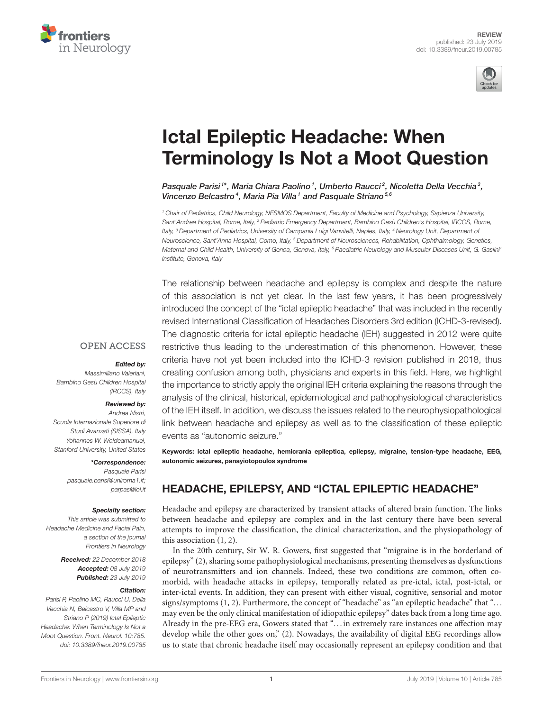



# Ictal Epileptic Headache: When [Terminology Is Not a Moot Question](https://www.frontiersin.org/articles/10.3389/fneur.2019.00785/full)

[Pasquale Parisi](http://loop.frontiersin.org/people/553540/overview)  $^{\rm t*}$ , [Maria Chiara Paolino](http://loop.frontiersin.org/people/577859/overview)  $^{\rm t}$ , [Umberto Raucci](http://loop.frontiersin.org/people/553539/overview)  $^{\rm 2}$ , Nicoletta Della Vecchia  $^{\rm 3}$ , [Vincenzo Belcastro](http://loop.frontiersin.org/people/628017/overview)<sup>4</sup>, [Maria Pia Villa](http://loop.frontiersin.org/people/100226/overview)<sup>1</sup> and [Pasquale Striano](http://loop.frontiersin.org/people/458956/overview)<sup>5,6</sup>

<sup>1</sup> Chair of Pediatrics, Child Neurology, NESMOS Department, Faculty of Medicine and Psychology, Sapienza University, Sant'Andrea Hospital, Rome, Italy, <sup>2</sup> Pediatric Emergency Department, Bambino Gesù Children's Hospital, IRCCS, Rome, Italy, <sup>3</sup> Department of Pediatrics, University of Campania Luigi Vanvitelli, Naples, Italy, <sup>4</sup> Neurology Unit, Department of Neuroscience, Sant'Anna Hospital, Como, Italy, <sup>5</sup> Department of Neurosciences, Rehabilitation, Ophthalmology, Genetics, Maternal and Child Health, University of Genoa, Genova, Italy, <sup>6</sup> Paediatric Neurology and Muscular Diseases Unit, G. Gaslini' Institute, Genova, Italy

The relationship between headache and epilepsy is complex and despite the nature of this association is not yet clear. In the last few years, it has been progressively introduced the concept of the "ictal epileptic headache" that was included in the recently revised International Classification of Headaches Disorders 3rd edition (ICHD-3-revised). The diagnostic criteria for ictal epileptic headache (IEH) suggested in 2012 were quite restrictive thus leading to the underestimation of this phenomenon. However, these criteria have not yet been included into the ICHD-3 revision published in 2018, thus creating confusion among both, physicians and experts in this field. Here, we highlight the importance to strictly apply the original IEH criteria explaining the reasons through the analysis of the clinical, historical, epidemiological and pathophysiological characteristics of the IEH itself. In addition, we discuss the issues related to the neurophysiopathological link between headache and epilepsy as well as to the classification of these epileptic events as "autonomic seizure."

Keywords: ictal epileptic headache, hemicrania epileptica, epilepsy, migraine, tension-type headache, EEG, autonomic seizures, panayiotopoulos syndrome

### HEADACHE, EPILEPSY, AND "ICTAL EPILEPTIC HEADACHE"

Headache and epilepsy are characterized by transient attacks of altered brain function. The links between headache and epilepsy are complex and in the last century there have been several attempts to improve the classification, the clinical characterization, and the physiopathology of this association [\(1,](#page-3-0) [2\)](#page-3-1).

In the 20th century, Sir W. R. Gowers, first suggested that "migraine is in the borderland of epilepsy" [\(2\)](#page-3-1), sharing some pathophysiological mechanisms, presenting themselves as dysfunctions of neurotransmitters and ion channels. Indeed, these two conditions are common, often comorbid, with headache attacks in epilepsy, temporally related as pre-ictal, ictal, post-ictal, or inter-ictal events. In addition, they can present with either visual, cognitive, sensorial and motor signs/symptoms  $(1, 2)$  $(1, 2)$ . Furthermore, the concept of "headache" as "an epileptic headache" that "... may even be the only clinical manifestation of idiopathic epilepsy" dates back from a long time ago. Already in the pre-EEG era, Gowers stated that ". . . in extremely rare instances one affection may develop while the other goes on," [\(2\)](#page-3-1). Nowadays, the availability of digital EEG recordings allow us to state that chronic headache itself may occasionally represent an epilepsy condition and that

#### **OPEN ACCESS**

#### Edited by:

Massimiliano Valeriani, Bambino Gesù Children Hospital (IRCCS), Italy

#### Reviewed by:

Andrea Nistri, Scuola Internazionale Superiore di Studi Avanzati (SISSA), Italy Yohannes W. Woldeamanuel, Stanford University, United States

#### \*Correspondence:

Pasquale Parisi [pasquale.parisi@uniroma1.it;](mailto:pasquale.parisi@uniroma1.it) [parpas@iol.it](mailto:parpas@iol.it)

#### Specialty section:

This article was submitted to Headache Medicine and Facial Pain, a section of the journal Frontiers in Neurology

> Received: 22 December 2018 Accepted: 08 July 2019 Published: 23 July 2019

#### Citation:

Parisi P, Paolino MC, Raucci U, Della Vecchia N, Belcastro V, Villa MP and Striano P (2019) Ictal Epileptic Headache: When Terminology Is Not a Moot Question. Front. Neurol. 10:785. doi: [10.3389/fneur.2019.00785](https://doi.org/10.3389/fneur.2019.00785)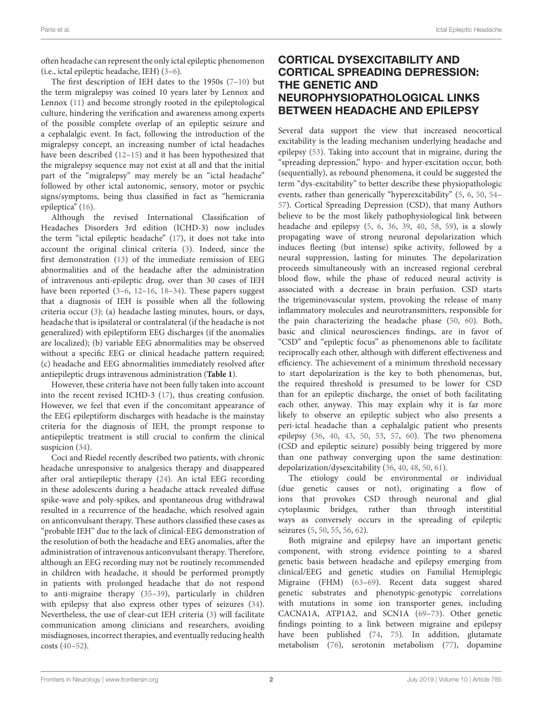often headache can represent the only ictal epileptic phenomenon (i.e., ictal epileptic headache, IEH) [\(3–](#page-3-2)[6\)](#page-3-3).

The first description of IEH dates to the 1950s  $(7-10)$  but the term migralepsy was coined 10 years later by Lennox and Lennox [\(11\)](#page-3-6) and become strongly rooted in the epileptological culture, hindering the verification and awareness among experts of the possible complete overlap of an epileptic seizure and a cephalalgic event. In fact, following the introduction of the migralepsy concept, an increasing number of ictal headaches have been described [\(12](#page-3-7)[–15\)](#page-3-8) and it has been hypothesized that the migralepsy sequence may not exist at all and that the initial part of the "migralepsy" may merely be an "ictal headache" followed by other ictal autonomic, sensory, motor or psychic signs/symptoms, being thus classified in fact as "hemicrania epileptica" [\(16\)](#page-4-0).

Although the revised International Classification of Headaches Disorders 3rd edition (ICHD-3) now includes the term "ictal epileptic headache" [\(17\)](#page-4-1), it does not take into account the original clinical criteria [\(3\)](#page-3-2). Indeed, since the first demonstration [\(13\)](#page-3-9) of the immediate remission of EEG abnormalities and of the headache after the administration of intravenous anti-epileptic drug, over than 30 cases of IEH have been reported [\(3–](#page-3-2)[6,](#page-3-3) [12–](#page-3-7)[16,](#page-4-0) [18–](#page-4-2)[34\)](#page-4-3). These papers suggest that a diagnosis of IEH is possible when all the following criteria occur [\(3\)](#page-3-2): (a) headache lasting minutes, hours, or days, headache that is ipsilateral or contralateral (if the headache is not generalized) with epileptiform EEG discharges (if the anomalies are localized); (b) variable EEG abnormalities may be observed without a specific EEG or clinical headache pattern required; (c) headache and EEG abnormalities immediately resolved after antiepileptic drugs intravenous administration (**[Table 1](#page-2-0)**).

However, these criteria have not been fully taken into account into the recent revised ICHD-3 [\(17\)](#page-4-1), thus creating confusion. However, we feel that even if the concomitant appearance of the EEG epileptiform discharges with headache is the mainstay criteria for the diagnosis of IEH, the prompt response to antiepileptic treatment is still crucial to confirm the clinical suspicion [\(34\)](#page-4-3).

Coci and Riedel recently described two patients, with chronic headache unresponsive to analgesics therapy and disappeared after oral antiepileptic therapy [\(24\)](#page-4-4). An ictal EEG recording in these adolescents during a headache attack revealed diffuse spike-wave and poly-spikes, and spontaneous drug withdrawal resulted in a recurrence of the headache, which resolved again on anticonvulsant therapy. These authors classified these cases as "probable IEH" due to the lack of clinical-EEG demonstration of the resolution of both the headache and EEG anomalies, after the administration of intravenous anticonvulsant therapy. Therefore, although an EEG recording may not be routinely recommended in children with headache, it should be performed promptly in patients with prolonged headache that do not respond to anti-migraine therapy [\(35–](#page-4-5)[39\)](#page-4-6), particularly in children with epilepsy that also express other types of seizures [\(34\)](#page-4-3). Nevertheless, the use of clear-cut IEH criteria [\(3\)](#page-3-2) will facilitate communication among clinicians and researchers, avoiding misdiagnoses, incorrect therapies, and eventually reducing health costs [\(40–](#page-4-7)[52\)](#page-4-8).

### CORTICAL DYSEXCITABILITY AND CORTICAL SPREADING DEPRESSION: THE GENETIC AND NEUROPHYSIOPATHOLOGICAL LINKS BETWEEN HEADACHE AND EPILEPSY

Several data support the view that increased neocortical excitability is the leading mechanism underlying headache and epilepsy [\(53\)](#page-4-9). Taking into account that in migraine, during the "spreading depression," hypo- and hyper-excitation occur, both (sequentially), as rebound phenomena, it could be suggested the term "dys-excitability" to better describe these physiopathologic events, rather than generically "hyperexcitability" [\(5,](#page-3-10) [6,](#page-3-3) [50,](#page-4-10) [54–](#page-4-11) [57\)](#page-4-12). Cortical Spreading Depression (CSD), that many Authors believe to be the most likely pathophysiological link between headache and epilepsy [\(5,](#page-3-10) [6,](#page-3-3) [36,](#page-4-13) [39,](#page-4-6) [40,](#page-4-7) [58,](#page-5-0) [59\)](#page-5-1), is a slowly propagating wave of strong neuronal depolarization which induces fleeting (but intense) spike activity, followed by a neural suppression, lasting for minutes. The depolarization proceeds simultaneously with an increased regional cerebral blood flow, while the phase of reduced neural activity is associated with a decrease in brain perfusion. CSD starts the trigeminovascular system, provoking the release of many inflammatory molecules and neurotransmitters, responsible for the pain characterizing the headache phase [\(50,](#page-4-10) [60\)](#page-5-2). Both, basic and clinical neurosciences findings, are in favor of "CSD" and "epileptic focus" as phenomenons able to facilitate reciprocally each other, although with different effectiveness and efficiency. The achievement of a minimum threshold necessary to start depolarization is the key to both phenomenas, but, the required threshold is presumed to be lower for CSD than for an epileptic discharge, the onset of both facilitating each other, anyway. This may explain why it is far more likely to observe an epileptic subject who also presents a peri-ictal headache than a cephalalgic patient who presents epilepsy [\(36,](#page-4-13) [40,](#page-4-7) [43,](#page-4-14) [50,](#page-4-10) [53,](#page-4-9) [57,](#page-4-12) [60\)](#page-5-2). The two phenomena (CSD and epileptic seizure) possibly being triggered by more than one pathway converging upon the same destination: depolarization/dysexcitability [\(36,](#page-4-13) [40,](#page-4-7) [48,](#page-4-15) [50,](#page-4-10) [61\)](#page-5-3).

The etiology could be environmental or individual (due genetic causes or not), originating a flow of ions that provokes CSD through neuronal and glial cytoplasmic bridges, rather than through interstitial ways as conversely occurs in the spreading of epileptic seizures [\(5,](#page-3-10) [50,](#page-4-10) [55,](#page-4-16) [56,](#page-4-17) [62\)](#page-5-4).

Both migraine and epilepsy have an important genetic component, with strong evidence pointing to a shared genetic basis between headache and epilepsy emerging from clinical/EEG and genetic studies on Familial Hemiplegic Migraine (FHM) [\(63](#page-5-5)[–69\)](#page-5-6). Recent data suggest shared genetic substrates and phenotypic-genotypic correlations with mutations in some ion transporter genes, including CACNA1A, ATP1A2, and SCN1A [\(69–](#page-5-6)[73\)](#page-5-7). Other genetic findings pointing to a link between migraine and epilepsy have been published [\(74,](#page-5-8) [75\)](#page-5-9). In addition, glutamate metabolism [\(76\)](#page-5-10), serotonin metabolism [\(77\)](#page-5-11), dopamine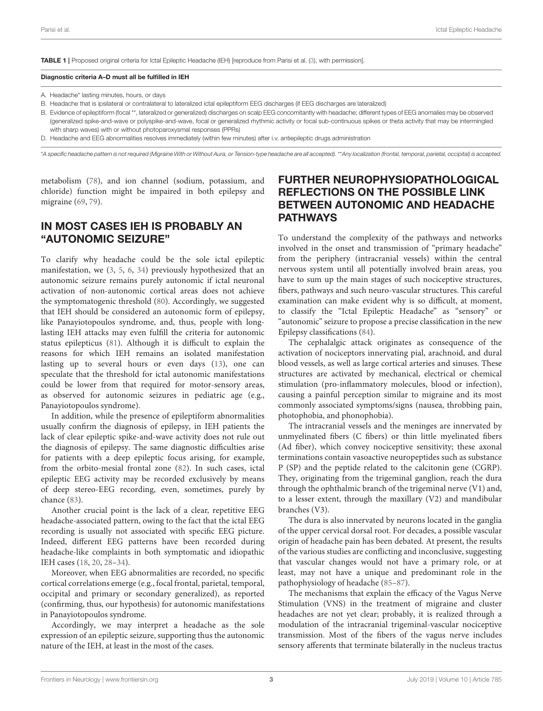<span id="page-2-0"></span>TABLE 1 | Proposed original criteria for Ictal Epileptic Headache (IEH) [reproduce from Parisi et al. [\(3\)](#page-3-2), with permission].

#### Diagnostic criteria A–D must all be fulfilled in IEH

B. Headache that is ipsilateral or contralateral to lateralized ictal epileptiform EEG discharges (if EEG discharges are lateralized)

D. Headache and EEG abnormalities resolves immediately (within few minutes) after i.v. antiepileptic drugs administration

\*A specific headache pattern is not required (Migraine With or Without Aura, or Tension-type headache are all accepted). \*\*Any localization (frontal, temporal, parietal, occipital) is accepted.

metabolism [\(78\)](#page-5-12), and ion channel (sodium, potassium, and chloride) function might be impaired in both epilepsy and migraine [\(69,](#page-5-6) [79\)](#page-5-13).

### IN MOST CASES IEH IS PROBABLY AN "AUTONOMIC SEIZURE"

To clarify why headache could be the sole ictal epileptic manifestation, we [\(3,](#page-3-2) [5,](#page-3-10) [6,](#page-3-3) [34\)](#page-4-3) previously hypothesized that an autonomic seizure remains purely autonomic if ictal neuronal activation of non-autonomic cortical areas does not achieve the symptomatogenic threshold [\(80\)](#page-5-14). Accordingly, we suggested that IEH should be considered an autonomic form of epilepsy, like Panayiotopoulos syndrome, and, thus, people with longlasting IEH attacks may even fulfill the criteria for autonomic status epilepticus [\(81\)](#page-5-15). Although it is difficult to explain the reasons for which IEH remains an isolated manifestation lasting up to several hours or even days [\(13\)](#page-3-9), one can speculate that the threshold for ictal autonomic manifestations could be lower from that required for motor-sensory areas, as observed for autonomic seizures in pediatric age (e.g., Panayiotopoulos syndrome).

In addition, while the presence of epileptiform abnormalities usually confirm the diagnosis of epilepsy, in IEH patients the lack of clear epileptic spike-and-wave activity does not rule out the diagnosis of epilepsy. The same diagnostic difficulties arise for patients with a deep epileptic focus arising, for example, from the orbito-mesial frontal zone [\(82\)](#page-5-16). In such cases, ictal epileptic EEG activity may be recorded exclusively by means of deep stereo-EEG recording, even, sometimes, purely by chance [\(83\)](#page-5-17).

Another crucial point is the lack of a clear, repetitive EEG headache-associated pattern, owing to the fact that the ictal EEG recording is usually not associated with specific EEG picture. Indeed, different EEG patterns have been recorded during headache-like complaints in both symptomatic and idiopathic IEH cases [\(18,](#page-4-2) [20,](#page-4-18) [28](#page-4-19)[–34\)](#page-4-3).

Moreover, when EEG abnormalities are recorded, no specific cortical correlations emerge (e.g., focal frontal, parietal, temporal, occipital and primary or secondary generalized), as reported (confirming, thus, our hypothesis) for autonomic manifestations in Panayiotopoulos syndrome.

Accordingly, we may interpret a headache as the sole expression of an epileptic seizure, supporting thus the autonomic nature of the IEH, at least in the most of the cases.

### FURTHER NEUROPHYSIOPATHOLOGICAL REFLECTIONS ON THE POSSIBLE LINK BETWEEN AUTONOMIC AND HEADACHE PATHWAYS

To understand the complexity of the pathways and networks involved in the onset and transmission of "primary headache" from the periphery (intracranial vessels) within the central nervous system until all potentially involved brain areas, you have to sum up the main stages of such nociceptive structures, fibers, pathways and such neuro-vascular structures. This careful examination can make evident why is so difficult, at moment, to classify the "Ictal Epileptic Headache" as "sensory" or "autonomic" seizure to propose a precise classification in the new Epilepsy classifications [\(84\)](#page-5-18).

The cephalalgic attack originates as consequence of the activation of nociceptors innervating pial, arachnoid, and dural blood vessels, as well as large cortical arteries and sinuses. These structures are activated by mechanical, electrical or chemical stimulation (pro-inflammatory molecules, blood or infection), causing a painful perception similar to migraine and its most commonly associated symptoms/signs (nausea, throbbing pain, photophobia, and phonophobia).

The intracranial vessels and the meninges are innervated by unmyelinated fibers (C fibers) or thin little myelinated fibers (Ad fiber), which convey nociceptive sensitivity; these axonal terminations contain vasoactive neuropeptides such as substance P (SP) and the peptide related to the calcitonin gene (CGRP). They, originating from the trigeminal ganglion, reach the dura through the ophthalmic branch of the trigeminal nerve (V1) and, to a lesser extent, through the maxillary (V2) and mandibular branches (V3).

The dura is also innervated by neurons located in the ganglia of the upper cervical dorsal root. For decades, a possible vascular origin of headache pain has been debated. At present, the results of the various studies are conflicting and inconclusive, suggesting that vascular changes would not have a primary role, or at least, may not have a unique and predominant role in the pathophysiology of headache [\(85](#page-5-19)[–87\)](#page-5-20).

The mechanisms that explain the efficacy of the Vagus Nerve Stimulation (VNS) in the treatment of migraine and cluster headaches are not yet clear; probably, it is realized through a modulation of the intracranial trigeminal-vascular nociceptive transmission. Most of the fibers of the vagus nerve includes sensory afferents that terminate bilaterally in the nucleus tractus

A. Headache\* lasting minutes, hours, or days

B. Evidence of epileptiform (focal \*\*, lateralized or generalized) discharges on scalp EEG concomitantly with headache; different types of EEG anomalies may be observed (generalized spike-and-wave or polyspike-and-wave, focal or generalized rhythmic activity or focal sub-continuous spikes or theta activity that may be intermingled with sharp waves) with or without photoparoxysmal responses (PPRs)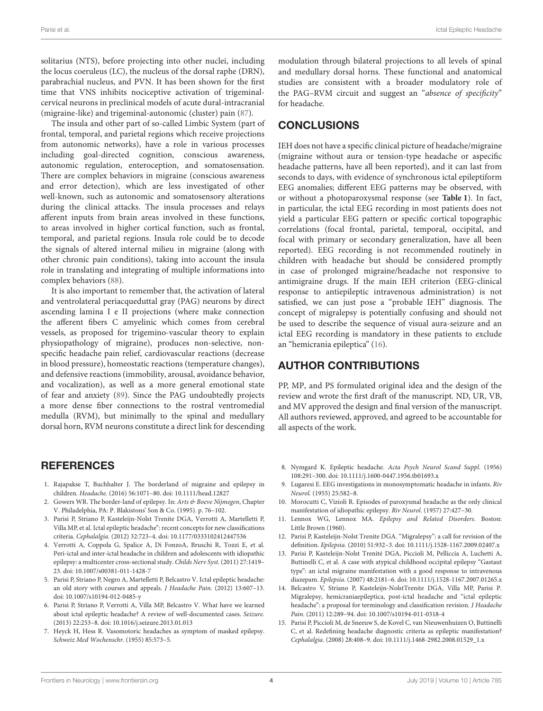solitarius (NTS), before projecting into other nuclei, including the locus coeruleus (LC), the nucleus of the dorsal raphe (DRN), parabrachial nucleus, and PVN. It has been shown for the first time that VNS inhibits nociceptive activation of trigeminalcervical neurons in preclinical models of acute dural-intracranial (migraine-like) and trigeminal-autonomic (cluster) pain [\(87\)](#page-5-20).

The insula and other part of so-called Limbic System (part of frontal, temporal, and parietal regions which receive projections from autonomic networks), have a role in various processes including goal-directed cognition, conscious awareness, autonomic regulation, enteroception, and somatosensation. There are complex behaviors in migraine (conscious awareness and error detection), which are less investigated of other well-known, such as autonomic and somatosensory alterations during the clinical attacks. The insula processes and relays afferent inputs from brain areas involved in these functions, to areas involved in higher cortical function, such as frontal, temporal, and parietal regions. Insula role could be to decode the signals of altered internal milieu in migraine (along with other chronic pain conditions), taking into account the insula role in translating and integrating of multiple informations into complex behaviors [\(88\)](#page-5-21).

It is also important to remember that, the activation of lateral and ventrolateral periacqueduttal gray (PAG) neurons by direct ascending lamina I e II projections (where make connection the afferent fibers C amyelinic which comes from cerebral vessels, as proposed for trigemino-vascular theory to explain physiopathology of migraine), produces non-selective, nonspecific headache pain relief, cardiovascular reactions (decrease in blood pressure), homeostatic reactions (temperature changes), and defensive reactions (immobility, arousal, avoidance behavior, and vocalization), as well as a more general emotional state of fear and anxiety [\(89\)](#page-5-22). Since the PAG undoubtedly projects a more dense fiber connections to the rostral ventromedial medulla (RVM), but minimally to the spinal and medullary dorsal horn, RVM neurons constitute a direct link for descending

### **REFERENCES**

- <span id="page-3-0"></span>1. Rajapakse T, Buchhalter J. The borderland of migraine and epilepsy in children. Headache. (2016) 56:1071–80. doi: [10.1111/head.12827](https://doi.org/10.1111/head.12827)
- <span id="page-3-1"></span>2. Gowers WR. The border-land of epilepsy. In: Arts & Boeve Nijmegen, Chapter V. Philadelphia, PA: P. Blakistons' Son & Co. (1995). p. 76–102.
- <span id="page-3-2"></span>3. Parisi P, Striano P, Kasteleijn-Nolst Trenite DGA, Verrotti A, Martelletti P, Villa MP, et al. Ictal epileptic headache": recent concepts for new classifications criteria. Cephalalgia. (2012) 32:723–4. doi: [10.1177/0333102412447536](https://doi.org/10.1177/0333102412447536)
- 4. Verrotti A, Coppola G, Spalice A, Di FonzoA, Bruschi R, Tozzi E, et al. Peri-ictal and inter-ictal headache in children and adolescents with idiopathic epilepsy: a multicenter cross-sectional study. Childs Nerv Syst. (2011) 27:1419– 23. doi: [10.1007/s00381-011-1428-7](https://doi.org/10.1007/s00381-011-1428-7)
- <span id="page-3-10"></span>5. Parisi P, Striano P, Negro A, Martelletti P, Belcastro V. Ictal epileptic headache: an old story with courses and appeals. J Headache Pain. (2012) 13:607–13. doi: [10.1007/s10194-012-0485-y](https://doi.org/10.1007/s10194-012-0485-y)
- <span id="page-3-3"></span>6. Parisi P, Striano P, Verrotti A, Villa MP, Belcastro V. What have we learned about ictal epileptic headache? A review of well-documented cases. Seizure. (2013) 22:253–8. doi: [10.1016/j.seizure.2013.01.013](https://doi.org/10.1016/j.seizure.2013.01.013)
- <span id="page-3-4"></span>7. Heyck H, Hess R. Vasomotoric headaches as symptom of masked epilepsy. Schweiz Med Wochenschr. (1955) 85:573–5.

modulation through bilateral projections to all levels of spinal and medullary dorsal horns. These functional and anatomical studies are consistent with a broader modulatory role of the PAG–RVM circuit and suggest an "absence of specificity" for headache.

## **CONCLUSIONS**

IEH does not have a specific clinical picture of headache/migraine (migraine without aura or tension-type headache or aspecific headache patterns, have all been reported), and it can last from seconds to days, with evidence of synchronous ictal epileptiform EEG anomalies; different EEG patterns may be observed, with or without a photoparoxysmal response (see **[Table 1](#page-2-0)**). In fact, in particular, the ictal EEG recording in most patients does not yield a particular EEG pattern or specific cortical topographic correlations (focal frontal, parietal, temporal, occipital, and focal with primary or secondary generalization, have all been reported). EEG recording is not recommended routinely in children with headache but should be considered promptly in case of prolonged migraine/headache not responsive to antimigraine drugs. If the main IEH criterion (EEG-clinical response to antiepileptic intravenous administration) is not satisfied, we can just pose a "probable IEH" diagnosis. The concept of migralepsy is potentially confusing and should not be used to describe the sequence of visual aura-seizure and an ictal EEG recording is mandatory in these patients to exclude an "hemicrania epileptica" [\(16\)](#page-4-0).

# AUTHOR CONTRIBUTIONS

PP, MP, and PS formulated original idea and the design of the review and wrote the first draft of the manuscript. ND, UR, VB, and MV approved the design and final version of the manuscript. All authors reviewed, approved, and agreed to be accountable for all aspects of the work.

- 8. Nymgard K. Epileptic headache. Acta Psych Neurol Scand Suppl. (1956) 108:291–300. doi: [10.1111/j.1600-0447.1956.tb01693.x](https://doi.org/10.1111/j.1600-0447.1956.tb01693.x)
- 9. Lugaresi E. EEG investigations in monosymptomatic headache in infants. Riv Neurol. (1955) 25:582–8.
- <span id="page-3-5"></span>10. Morocutti C, Vizioli R. Episodes of paroxysmal headache as the only clinical manifestation of idiopathic epilepsy. Riv Neurol. (1957) 27:427–30.
- <span id="page-3-6"></span>11. Lennox WG, Lennox MA. Epilepsy and Related Disorders. Boston: Little Brown (1960).
- <span id="page-3-7"></span>12. Parisi P, Kasteleijn-Nolst Trenite DGA. "Migralepsy": a call for revision of the definition. Epilepsia. (2010) 51:932–3. doi: [10.1111/j.1528-1167.2009.02407.x](https://doi.org/10.1111/j.1528-1167.2009.02407.x)
- <span id="page-3-9"></span>13. Parisi P, Kasteleijn-Nolst Trenité DGA, Piccioli M, Pelliccia A, Luchetti A, Buttinelli C, et al. A case with atypical childhood occipital epilepsy "Gastaut type": an ictal migraine manifestation with a good response to intravenous diazepam. Epilepsia. (2007) 48:2181–6. doi: [10.1111/j.1528-1167.2007.01265.x](https://doi.org/10.1111/j.1528-1167.2007.01265.x)
- 14. Belcastro V, Striano P, Kasteleijn-NolstTrenite DGA, Villa MP, Parisi P. Migralepsy, hemicraniaepileptica, post-ictal headache and "ictal epileptic headache": a proposal for terminology and classification revision. J Headache Pain. (2011) 12:289–94. doi: [10.1007/s10194-011-0318-4](https://doi.org/10.1007/s10194-011-0318-4)
- <span id="page-3-8"></span>15. Parisi P, Piccioli M, de Sneeuw S, de Kovel C, van Nieuwenhuizen O, Buttinelli C, et al. Redefining headache diagnostic criteria as epileptic manifestation? Cephalalgia. (2008) 28:408–9. doi: [10.1111/j.1468-2982.2008.01529\\_1.x](https://doi.org/10.1111/j.1468-2982.2008.01529_1.x)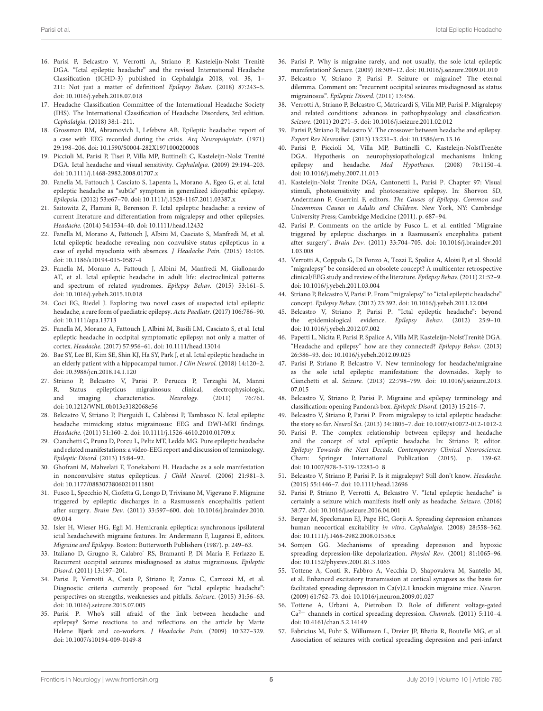- <span id="page-4-0"></span>16. Parisi P, Belcastro V, Verrotti A, Striano P, Kasteleijn-Nolst Trenitè DGA. "Ictal epileptic headache" and the revised International Headache Classification (ICHD-3) published in Cephalalgia 2018, vol. 38, 1– 211: Not just a matter of definition! Epilepsy Behav. (2018) 87:243–5. doi: [10.1016/j.yebeh.2018.07.018](https://doi.org/10.1016/j.yebeh.2018.07.018)
- <span id="page-4-1"></span>17. Headache Classification Committee of the International Headache Society (IHS). The International Classification of Headache Disorders, 3rd edition. Cephalalgia. (2018) 38:1–211.
- <span id="page-4-2"></span>18. Grossman RM, Abramovich I, Lefebvre AB. Epileptic headache: report of a case with EEG recorded during the crisis. Arq Neuropsiquiatr. (1971) 29:198–206. doi: [10.1590/S0004-282X1971000200008](https://doi.org/10.1590/S0004-282X1971000200008)
- 19. Piccioli M, Parisi P, Tisei P, Villa MP, Buttinelli C, Kasteleijn-Nolst Trenité DGA. Ictal headache and visual sensitivity. Cephalalgia. (2009) 29:194–203. doi: [10.1111/j.1468-2982.2008.01707.x](https://doi.org/10.1111/j.1468-2982.2008.01707.x)
- <span id="page-4-18"></span>20. Fanella M, Fattouch J, Casciato S, Lapenta L, Morano A, Egeo G, et al. Ictal epileptic headache as "subtle" symptom in generalized idiopathic epilepsy. Epilepsia. (2012) 53:e67–70. doi: [10.1111/j.1528-1167.2011.03387.x](https://doi.org/10.1111/j.1528-1167.2011.03387.x)
- 21. Saitowitz Z, Flamini R, Berenson F. Ictal epileptic headache: a review of current literature and differentiation from migralepsy and other epilepsies. Headache. (2014) 54:1534–40. doi: [10.1111/head.12432](https://doi.org/10.1111/head.12432)
- 22. Fanella M, Morano A, Fattouch J, Albini M, Casciato S, Manfredi M, et al. Ictal epileptic headache revealing non convulsive status epilepticus in a case of eyelid myoclonia with absences. J Headache Pain. (2015) 16:105. doi: [10.1186/s10194-015-0587-4](https://doi.org/10.1186/s10194-015-0587-4)
- 23. Fanella M, Morano A, Fattouch J, Albini M, Manfredi M, Giallonardo AT, et al. Ictal epileptic headache in adult life: electroclinical patterns and spectrum of related syndromes. Epilepsy Behav. (2015) 53:161–5. doi: [10.1016/j.yebeh.2015.10.018](https://doi.org/10.1016/j.yebeh.2015.10.018)
- <span id="page-4-4"></span>24. Coci EG, Riedel J. Exploring two novel cases of suspected ictal epileptic headache, a rare form of paediatric epilepsy. Acta Paediatr. (2017) 106:786–90. doi: [10.1111/apa.13713](https://doi.org/10.1111/apa.13713)
- 25. Fanella M, Morano A, Fattouch J, Albini M, Basili LM, Casciato S, et al. Ictal epileptic headache in occipital symptomatic epilepsy: not only a matter of cortex. Headache. (2017) 57:956–61. doi: [10.1111/head.13014](https://doi.org/10.1111/head.13014)
- 26. Bae SY, Lee BI, Kim SE, Shin KJ, Ha SY, Park J, et al. Ictal epileptic headache in an elderly patient with a hippocampal tumor. J Clin Neurol. (2018) 14:120–2. doi: [10.3988/jcn.2018.14.1.120](https://doi.org/10.3988/jcn.2018.14.1.120)
- 27. Striano P, Belcastro V, Parisi P. Perucca P, Terzaghi M, Manni R. Status epilepticus migrainosus: clinical, electrophysiologic, and imaging characteristics. Neurology. (2011) 76:761. doi: [10.1212/WNL.0b013e3182068e56](https://doi.org/10.1212/WNL.0b013e3182068e56)
- <span id="page-4-19"></span>28. Belcastro V, Striano P, Pierguidi L, Calabresi P, Tambasco N. Ictal epileptic headache mimicking status migrainosus: EEG and DWI-MRI findings. Headache. (2011) 51:160–2. doi: [10.1111/j.1526-4610.2010.01709.x](https://doi.org/10.1111/j.1526-4610.2010.01709.x)
- 29. Cianchetti C, Pruna D, Porcu L, Peltz MT, Ledda MG. Pure epileptic headache and related manifestations: a video-EEG report and discussion of terminology. Epileptic Disord. (2013) 15:84–92.
- 30. Ghofrani M, Mahvelati F, Tonekaboni H. Headache as a sole manifestation in nonconvulsive status epilepticus. J Child Neurol. (2006) 21:981–3. doi: [10.1177/08830738060210111801](https://doi.org/10.1177/08830738060210111801)
- 31. Fusco L, Specchio N, Ciofetta G, Longo D, Trivisano M, Vigevano F. Migraine triggered by epileptic discharges in a Rasmussen's encephalitis patient after surgery. Brain Dev. [\(2011\) 33:597–600. doi: 10.1016/j.braindev.2010.](https://doi.org/10.1016/j.braindev.2010.09.014) 09.014
- 32. Isler H, Wieser HG, Egli M. Hemicrania epileptica: synchronous ipsilateral ictal headachewith migraine features. In: Andermann F, Lugaresi E, editors. Migraine and Epilepsy. Boston: Butterworth Publishers (1987). p. 249–63.
- 33. Italiano D, Grugno R, Calabro' RS, Bramanti P, Di Maria F, Ferlazzo E. Recurrent occipital seizures misdiagnosed as status migrainosus. Epileptic Disord. (2011) 13:197–201.
- <span id="page-4-3"></span>34. Parisi P, Verrotti A, Costa P, Striano P, Zanus C, Carrozzi M, et al. Diagnostic criteria currently proposed for "ictal epileptic headache": perspectives on strengths, weaknesses and pitfalls. Seizure. (2015) 31:56–63. doi: [10.1016/j.seizure.2015.07.005](https://doi.org/10.1016/j.seizure.2015.07.005)
- <span id="page-4-5"></span>35. Parisi P. Who's still afraid of the link between headache and epilepsy? Some reactions to and reflections on the article by Marte Helene Bjørk and co-workers. J Headache Pain. (2009) 10:327–329. doi: [10.1007/s10194-009-0149-8](https://doi.org/10.1007/s10194-009-0149-8)
- <span id="page-4-13"></span>36. Parisi P. Why is migraine rarely, and not usually, the sole ictal epileptic manifestation? Seizure. (2009) 18:309–12. doi: [10.1016/j.seizure.2009.01.010](https://doi.org/10.1016/j.seizure.2009.01.010)
- 37. Belcastro V, Striano P, Parisi P. Seizure or migraine? The eternal dilemma. Comment on: "recurrent occipital seizures misdiagnosed as status migrainosus". Epileptic Disord. (2011) 13:456.
- 38. Verrotti A, Striano P, Belcastro C, Matricardi S, Villa MP, Parisi P. Migralepsy and related conditions: advances in pathophysiology and classification. Seizure. (2011) 20:271–5. doi: [10.1016/j.seizure.2011.02.012](https://doi.org/10.1016/j.seizure.2011.02.012)
- <span id="page-4-6"></span>39. Parisi P, Striano P, Belcastro V. The crossover between headache and epilepsy. Expert Rev Neurother. (2013) 13:231–3. doi: [10.1586/ern.13.16](https://doi.org/10.1586/ern.13.16)
- <span id="page-4-7"></span>40. Parisi P, Piccioli M, Villa MP, Buttinelli C, Kasteleijn-NolstTrenéte DGA. Hypothesis on neurophysiopathological mechanisms linking epilepsy and headache. Med Hypotheses. (2008) 70:1150–4. doi: [10.1016/j.mehy.2007.11.013](https://doi.org/10.1016/j.mehy.2007.11.013)
- 41. Kasteleijn-Nolst Trenite DGA, Cantonetti L, Parisi P. Chapter 97: Visual stimuli, photosensitivity and photosensitive epilepsy. In: Shorvon SD, Andermann F, Guerrini F, editors. The Causes of Epilepsy. Common and Uncommon Causes in Adults and Children. New York, NY: Cambridge University Press; Cambridge Medicine (2011). p. 687–94.
- 42. Parisi P. Comments on the article by Fusco L. et al. entitled "Migraine triggered by epileptic discharges in a Rasmussen's encephalitis patient after surgery". Brain Dev. [\(2011\) 33:704–705. doi: 10.1016/j.braindev.201](https://doi.org/10.1016/j.braindev.2011.03.008) 1.03.008
- <span id="page-4-14"></span>43. Verrotti A, Coppola G, Di Fonzo A, Tozzi E, Spalice A, Aloisi P, et al. Should "migralepsy" be considered an obsolete concept? A multicenter retrospective clinical/EEG study and review of the literature. Epilepsy Behav. (2011) 21:52–9. doi: [10.1016/j.yebeh.2011.03.004](https://doi.org/10.1016/j.yebeh.2011.03.004)
- 44. Striano P, Belcastro V, Parisi P. From "migralepsy" to "ictal epileptic headache" concept. Epilepsy Behav. (2012) 23:392. doi: [10.1016/j.yebeh.2011.12.004](https://doi.org/10.1016/j.yebeh.2011.12.004)
- 45. Belcastro V, Striano P, Parisi P. "Ictal epileptic headache": beyond the epidemiological evidence. Epilepsy Behav. (2012) 25:9–10. doi: [10.1016/j.yebeh.2012.07.002](https://doi.org/10.1016/j.yebeh.2012.07.002)
- 46. Papetti L, Nicita F, Parisi P, Spalice A, Villa MP, Kasteleijn-NolstTrenitè DGA. "Headache and epilepsy" how are they connected? Epilepsy Behav. (2013) 26:386–93. doi: [10.1016/j.yebeh.2012.09.025](https://doi.org/10.1016/j.yebeh.2012.09.025)
- 47. Parisi P, Striano P, Belcastro V. New terminology for headache/migraine as the sole ictal epileptic manifestation: the downsides. Reply to Cianchetti et al. Seizure. [\(2013\) 22:798–799. doi: 10.1016/j.seizure.2013.](https://doi.org/10.1016/j.seizure.2013.07.015) 07.015
- <span id="page-4-15"></span>48. Belcastro V, Striano P, Parisi P. Migraine and epilepsy terminology and classification: opening Pandora's box. Epileptic Disord. (2013) 15:216–7.
- 49. Belcastro V, Striano P, Parisi P. From migralepsy to ictal epileptic headache: the story so far. Neurol Sci. (2013) 34:1805–7. doi: [10.1007/s10072-012-1012-2](https://doi.org/10.1007/s10072-012-1012-2)
- <span id="page-4-10"></span>50. Parisi P. The complex relationship between epilepsy and headache and the concept of ictal epileptic headache. In: Striano P, editor. Epilepsy Towards the Next Decade. Contemporary Clinical Neuroscience. Cham: Springer International Publication (2015). p. 139-62. doi: [10.1007/978-3-319-12283-0\\_8](https://doi.org/10.1007/978-3-319-12283-0_8)
- 51. Belcastro V, Striano P, Parisi P. Is it migralepsy? Still don't know. Headache. (2015) 55:1446–7. doi: [10.1111/head.12696](https://doi.org/10.1111/head.12696)
- <span id="page-4-8"></span>52. Parisi P, Striano P, Verrotti A, Belcastro V. "Ictal epileptic headache" is certainly a seizure which manifests itself only as headache. Seizure. (2016) 38:77. doi: [10.1016/j.seizure.2016.04.001](https://doi.org/10.1016/j.seizure.2016.04.001)
- <span id="page-4-9"></span>53. Berger M, Speckmann EJ, Pape HC, Gorji A. Spreading depression enhances human neocortical excitability in vitro. Cephalalgia. (2008) 28:558–562. doi: [10.1111/j.1468-2982.2008.01556.x](https://doi.org/10.1111/j.1468-2982.2008.01556.x)
- <span id="page-4-11"></span>54. Somjen GG. Mechanisms of spreading depression and hypoxic spreading depression-like depolarization. Physiol Rev. (2001) 81:1065–96. doi: [10.1152/physrev.2001.81.3.1065](https://doi.org/10.1152/physrev.2001.81.3.1065)
- <span id="page-4-16"></span>55. Tottene A, Conti R, Fabbro A, Vecchia D, Shapovalova M, Santello M, et al. Enhanced excitatory transmission at cortical synapses as the basis for facilitated spreading depression in Ca(v)2.1 knockin migraine mice. Neuron. (2009) 61:762–73. doi: [10.1016/j.neuron.2009.01.027](https://doi.org/10.1016/j.neuron.2009.01.027)
- <span id="page-4-17"></span>56. Tottene A, Urbani A, Pietrobon D. Role of different voltage-gated Ca2<sup>+</sup> channels in cortical spreading depression. Channels. (2011) 5:110–4. doi: [10.4161/chan.5.2.14149](https://doi.org/10.4161/chan.5.2.14149)
- <span id="page-4-12"></span>57. Fabricius M, Fuhr S, Willumsen L, Dreier JP, Bhatia R, Boutelle MG, et al. Association of seizures with cortical spreading depression and peri-infarct